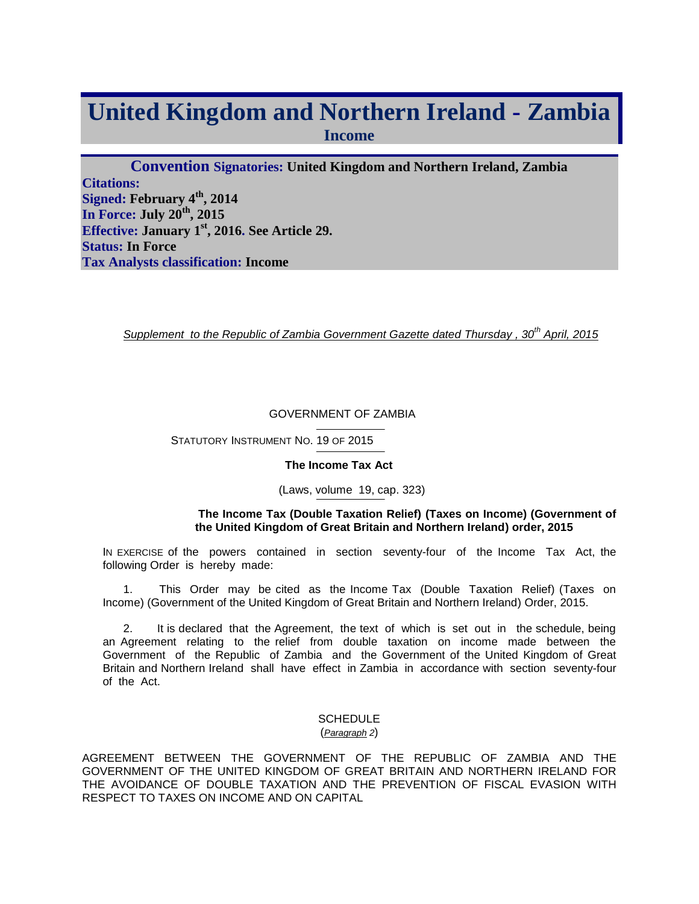# **United Kingdom and Northern Ireland - Zambia Income**

**Convention Signatories: United Kingdom and Northern Ireland, Zambia Citations: Signed: February 4 th, 2014 In Force: July 20th, 2015 Effective: January 1st, 2016. See Article 29. Status: In Force Tax Analysts classification: Income**

*Supplement to the Republic of Zambia Government Gazette dated Thursday , 30th April, 2015*

# GOVERNMENT OF ZAMBIA

STATUTORY INSTRUMENT NO. 19 OF 2015

# **The Income Tax Act**

(Laws, volume 19, cap. 323)

# **The Income Tax (Double Taxation Relief) (Taxes on Income) (Government of the United Kingdom of Great Britain and Northern Ireland) order, 2015**

IN EXERCISE of the powers contained in section seventy-four of the Income Tax Act, the following Order is hereby made:

1. This Order may be cited as the Income Tax (Double Taxation Relief) (Taxes on Income) (Government of the United Kingdom of Great Britain and Northern Ireland) Order, 2015.

2. It is declared that the Agreement, the text of which is set out in the schedule, being an Agreement relating to the relief from double taxation on income made between the Government of the Republic of Zambia and the Government of the United Kingdom of Great Britain and Northern Ireland shall have effect in Zambia in accordance with section seventy-four of the Act.

# **SCHEDULE**

(*Paragraph 2*)

AGREEMENT BETWEEN THE GOVERNMENT OF THE REPUBLIC OF ZAMBIA AND THE GOVERNMENT OF THE UNITED KINGDOM OF GREAT BRITAIN AND NORTHERN IRELAND FOR THE AVOIDANCE OF DOUBLE TAXATION AND THE PREVENTION OF FISCAL EVASION WITH RESPECT TO TAXES ON INCOME AND ON CAPITAL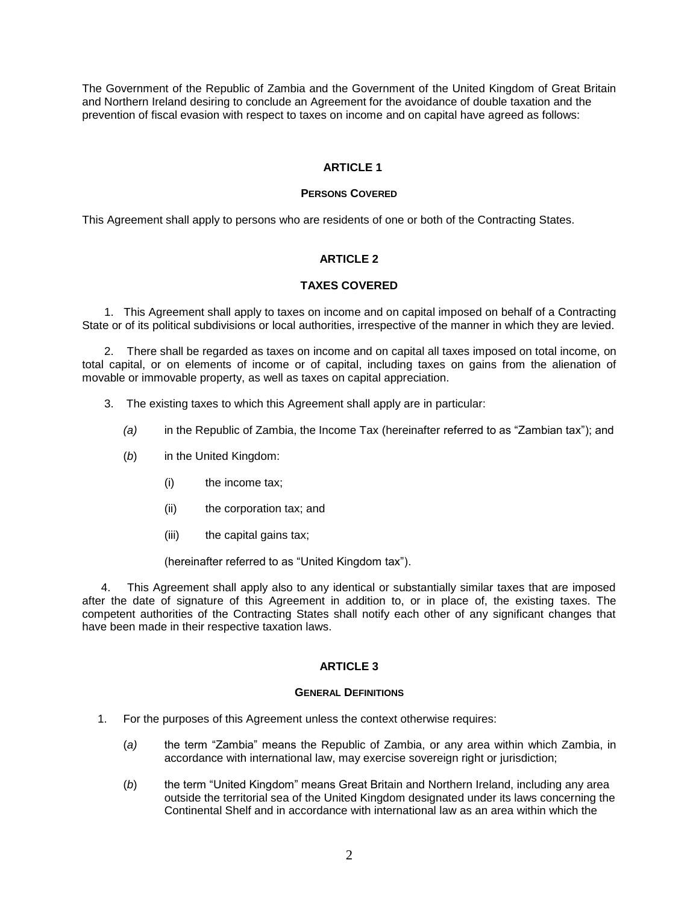The Government of the Republic of Zambia and the Government of the United Kingdom of Great Britain and Northern Ireland desiring to conclude an Agreement for the avoidance of double taxation and the prevention of fiscal evasion with respect to taxes on income and on capital have agreed as follows:

# **ARTICLE 1**

## **PERSONS COVERED**

This Agreement shall apply to persons who are residents of one or both of the Contracting States.

# **ARTICLE 2**

# **TAXES COVERED**

 1. This Agreement shall apply to taxes on income and on capital imposed on behalf of a Contracting State or of its political subdivisions or local authorities, irrespective of the manner in which they are levied.

 2. There shall be regarded as taxes on income and on capital all taxes imposed on total income, on total capital, or on elements of income or of capital, including taxes on gains from the alienation of movable or immovable property, as well as taxes on capital appreciation.

- 3. The existing taxes to which this Agreement shall apply are in particular:
	- *(a)* in the Republic of Zambia, the Income Tax (hereinafter referred to as "Zambian tax"); and
	- (*b*) in the United Kingdom:
		- (i) the income tax;
		- (ii) the corporation tax; and
		- (iii) the capital gains tax;

(hereinafter referred to as "United Kingdom tax").

 4. This Agreement shall apply also to any identical or substantially similar taxes that are imposed after the date of signature of this Agreement in addition to, or in place of, the existing taxes. The competent authorities of the Contracting States shall notify each other of any significant changes that have been made in their respective taxation laws.

# **ARTICLE 3**

## **GENERAL DEFINITIONS**

- 1. For the purposes of this Agreement unless the context otherwise requires:
	- (*a)* the term "Zambia" means the Republic of Zambia, or any area within which Zambia, in accordance with international law, may exercise sovereign right or jurisdiction;
	- (*b*) the term "United Kingdom" means Great Britain and Northern Ireland, including any area outside the territorial sea of the United Kingdom designated under its laws concerning the Continental Shelf and in accordance with international law as an area within which the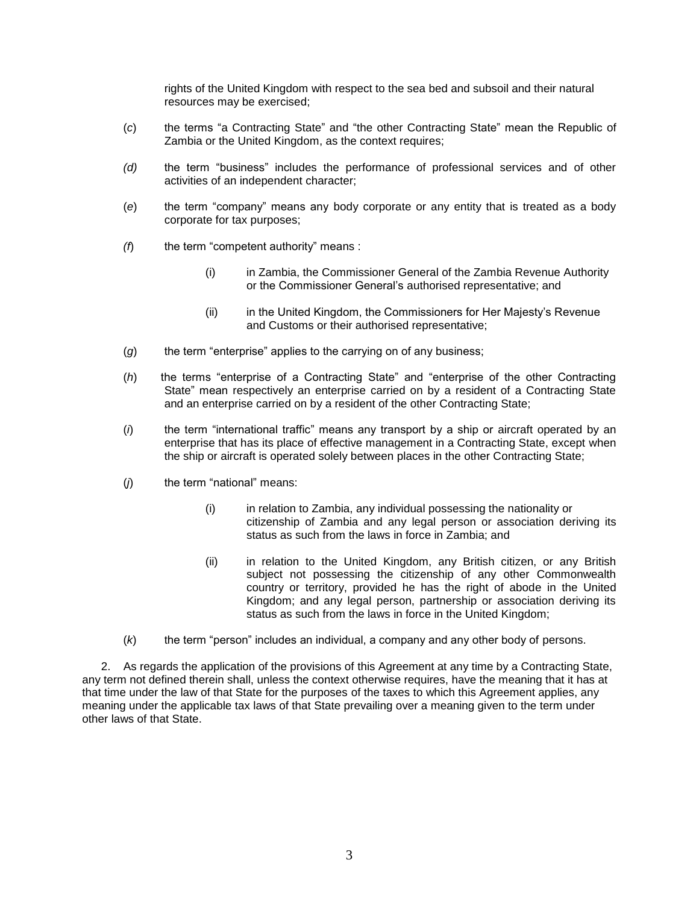rights of the United Kingdom with respect to the sea bed and subsoil and their natural resources may be exercised;

- (*c*) the terms "a Contracting State" and "the other Contracting State" mean the Republic of Zambia or the United Kingdom, as the context requires;
- *(d)* the term "business" includes the performance of professional services and of other activities of an independent character;
- (*e*) the term "company" means any body corporate or any entity that is treated as a body corporate for tax purposes;
- *(f*) the term "competent authority" means :
	- (i) in Zambia, the Commissioner General of the Zambia Revenue Authority or the Commissioner General's authorised representative; and
	- (ii) in the United Kingdom, the Commissioners for Her Majesty's Revenue and Customs or their authorised representative;
- (*g*) the term "enterprise" applies to the carrying on of any business;
- (*h*) the terms "enterprise of a Contracting State" and "enterprise of the other Contracting State" mean respectively an enterprise carried on by a resident of a Contracting State and an enterprise carried on by a resident of the other Contracting State;
- (*i*) the term "international traffic" means any transport by a ship or aircraft operated by an enterprise that has its place of effective management in a Contracting State, except when the ship or aircraft is operated solely between places in the other Contracting State;
- (*j*) the term "national" means:
	- (i) in relation to Zambia, any individual possessing the nationality or citizenship of Zambia and any legal person or association deriving its status as such from the laws in force in Zambia; and
	- (ii) in relation to the United Kingdom, any British citizen, or any British subject not possessing the citizenship of any other Commonwealth country or territory, provided he has the right of abode in the United Kingdom; and any legal person, partnership or association deriving its status as such from the laws in force in the United Kingdom;
- (*k*) the term "person" includes an individual, a company and any other body of persons.

 2. As regards the application of the provisions of this Agreement at any time by a Contracting State, any term not defined therein shall, unless the context otherwise requires, have the meaning that it has at that time under the law of that State for the purposes of the taxes to which this Agreement applies, any meaning under the applicable tax laws of that State prevailing over a meaning given to the term under other laws of that State.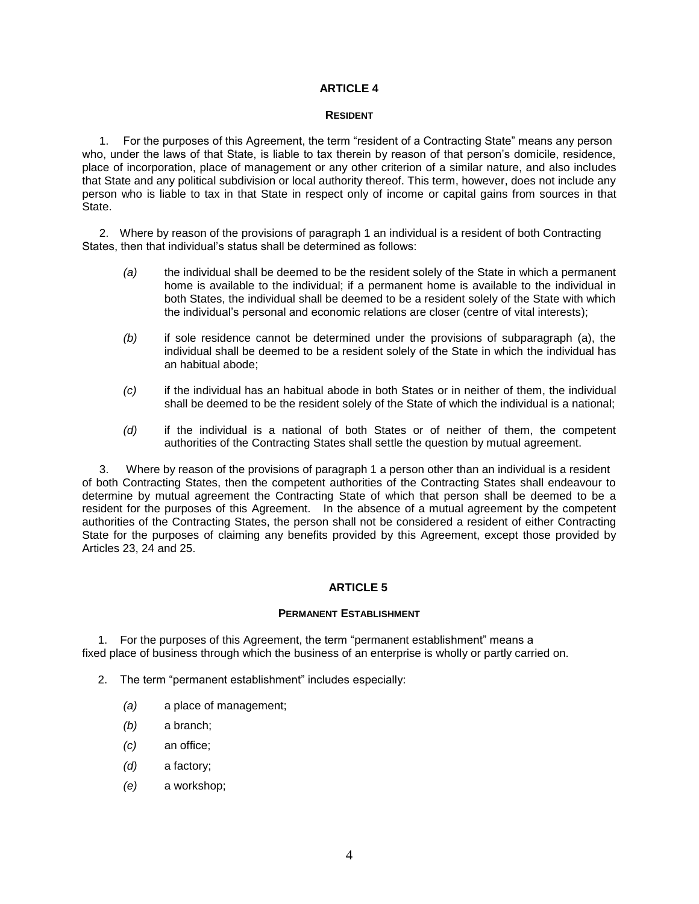#### **RESIDENT**

1. For the purposes of this Agreement, the term "resident of a Contracting State" means any person who, under the laws of that State, is liable to tax therein by reason of that person's domicile, residence, place of incorporation, place of management or any other criterion of a similar nature, and also includes that State and any political subdivision or local authority thereof. This term, however, does not include any person who is liable to tax in that State in respect only of income or capital gains from sources in that State.

2. Where by reason of the provisions of paragraph 1 an individual is a resident of both Contracting States, then that individual's status shall be determined as follows:

- *(a)* the individual shall be deemed to be the resident solely of the State in which a permanent home is available to the individual; if a permanent home is available to the individual in both States, the individual shall be deemed to be a resident solely of the State with which the individual's personal and economic relations are closer (centre of vital interests);
- *(b)* if sole residence cannot be determined under the provisions of subparagraph (a), the individual shall be deemed to be a resident solely of the State in which the individual has an habitual abode;
- *(c)* if the individual has an habitual abode in both States or in neither of them, the individual shall be deemed to be the resident solely of the State of which the individual is a national;
- *(d)* if the individual is a national of both States or of neither of them, the competent authorities of the Contracting States shall settle the question by mutual agreement.

3. Where by reason of the provisions of paragraph 1 a person other than an individual is a resident of both Contracting States, then the competent authorities of the Contracting States shall endeavour to determine by mutual agreement the Contracting State of which that person shall be deemed to be a resident for the purposes of this Agreement. In the absence of a mutual agreement by the competent authorities of the Contracting States, the person shall not be considered a resident of either Contracting State for the purposes of claiming any benefits provided by this Agreement, except those provided by Articles 23, 24 and 25.

# **ARTICLE 5**

## **PERMANENT ESTABLISHMENT**

 1. For the purposes of this Agreement, the term "permanent establishment" means a fixed place of business through which the business of an enterprise is wholly or partly carried on.

- 2. The term "permanent establishment" includes especially:
	- *(a)* a place of management;
	- *(b)* a branch;
	- *(c)* an office;
	- *(d)* a factory;
	- *(e)* a workshop;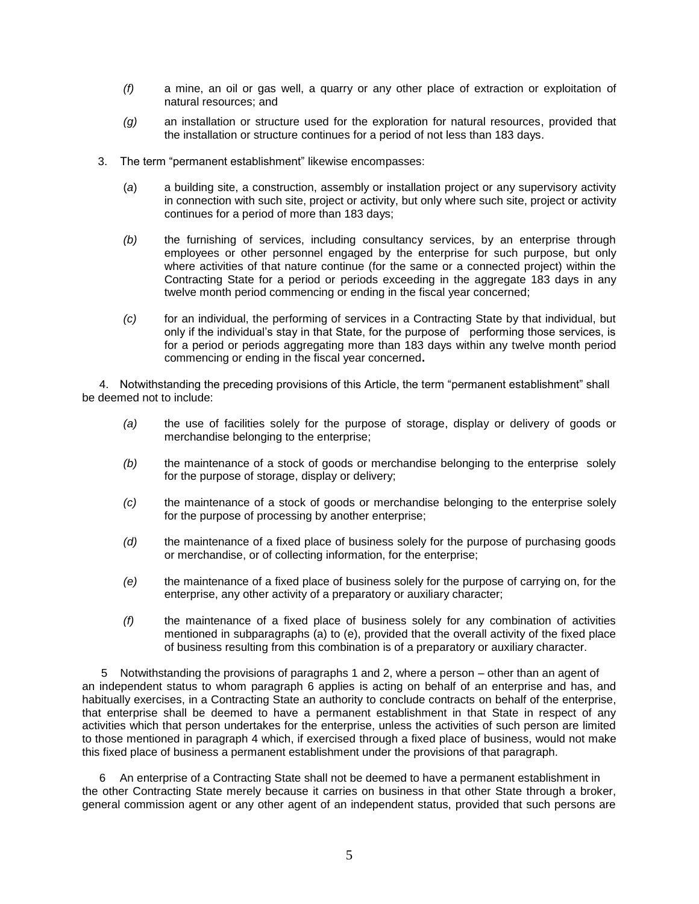- *(f)* a mine, an oil or gas well, a quarry or any other place of extraction or exploitation of natural resources; and
- *(g)* an installation or structure used for the exploration for natural resources, provided that the installation or structure continues for a period of not less than 183 days.
- 3. The term "permanent establishment" likewise encompasses:
	- (*a*) a building site, a construction, assembly or installation project or any supervisory activity in connection with such site, project or activity, but only where such site, project or activity continues for a period of more than 183 days;
	- *(b)* the furnishing of services, including consultancy services, by an enterprise through employees or other personnel engaged by the enterprise for such purpose, but only where activities of that nature continue (for the same or a connected project) within the Contracting State for a period or periods exceeding in the aggregate 183 days in any twelve month period commencing or ending in the fiscal year concerned;
	- *(c)* for an individual, the performing of services in a Contracting State by that individual, but only if the individual's stay in that State, for the purpose of performing those services, is for a period or periods aggregating more than 183 days within any twelve month period commencing or ending in the fiscal year concerned**.**

4. Notwithstanding the preceding provisions of this Article, the term "permanent establishment" shall be deemed not to include:

- *(a)* the use of facilities solely for the purpose of storage, display or delivery of goods or merchandise belonging to the enterprise;
- *(b)* the maintenance of a stock of goods or merchandise belonging to the enterprise solely for the purpose of storage, display or delivery;
- *(c)* the maintenance of a stock of goods or merchandise belonging to the enterprise solely for the purpose of processing by another enterprise;
- *(d)* the maintenance of a fixed place of business solely for the purpose of purchasing goods or merchandise, or of collecting information, for the enterprise;
- *(e)* the maintenance of a fixed place of business solely for the purpose of carrying on, for the enterprise, any other activity of a preparatory or auxiliary character;
- *(f)* the maintenance of a fixed place of business solely for any combination of activities mentioned in subparagraphs (a) to (e), provided that the overall activity of the fixed place of business resulting from this combination is of a preparatory or auxiliary character.

 5 Notwithstanding the provisions of paragraphs 1 and 2, where a person – other than an agent of an independent status to whom paragraph 6 applies is acting on behalf of an enterprise and has, and habitually exercises, in a Contracting State an authority to conclude contracts on behalf of the enterprise, that enterprise shall be deemed to have a permanent establishment in that State in respect of any activities which that person undertakes for the enterprise, unless the activities of such person are limited to those mentioned in paragraph 4 which, if exercised through a fixed place of business, would not make this fixed place of business a permanent establishment under the provisions of that paragraph.

6 An enterprise of a Contracting State shall not be deemed to have a permanent establishment in the other Contracting State merely because it carries on business in that other State through a broker, general commission agent or any other agent of an independent status, provided that such persons are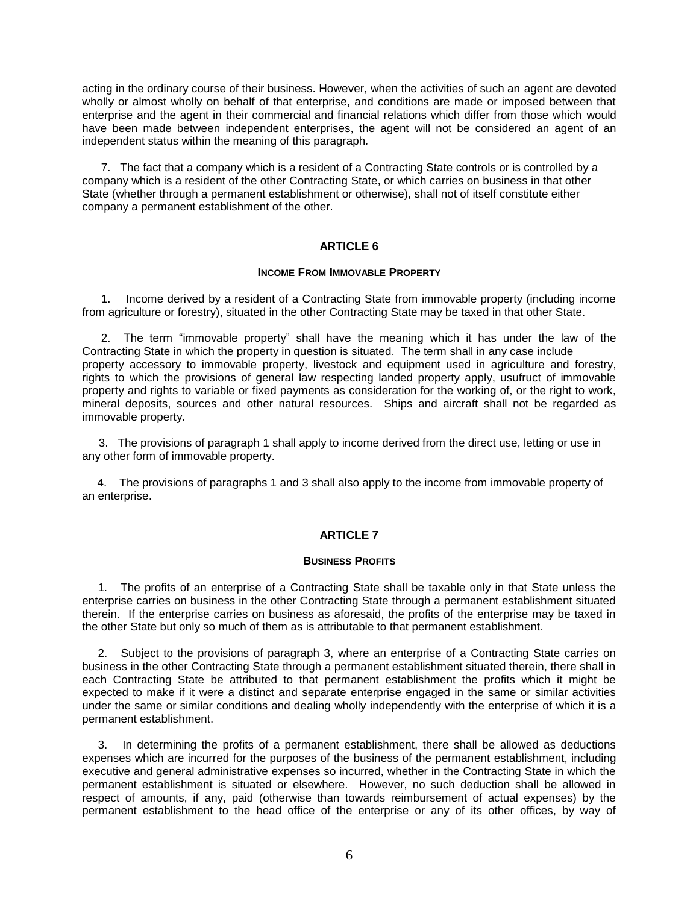acting in the ordinary course of their business. However, when the activities of such an agent are devoted wholly or almost wholly on behalf of that enterprise, and conditions are made or imposed between that enterprise and the agent in their commercial and financial relations which differ from those which would have been made between independent enterprises, the agent will not be considered an agent of an independent status within the meaning of this paragraph*.*

 7. The fact that a company which is a resident of a Contracting State controls or is controlled by a company which is a resident of the other Contracting State, or which carries on business in that other State (whether through a permanent establishment or otherwise), shall not of itself constitute either company a permanent establishment of the other.

## **ARTICLE 6**

#### **INCOME FROM IMMOVABLE PROPERTY**

 1. Income derived by a resident of a Contracting State from immovable property (including income from agriculture or forestry), situated in the other Contracting State may be taxed in that other State.

 2. The term "immovable property" shall have the meaning which it has under the law of the Contracting State in which the property in question is situated. The term shall in any case include property accessory to immovable property, livestock and equipment used in agriculture and forestry, rights to which the provisions of general law respecting landed property apply, usufruct of immovable property and rights to variable or fixed payments as consideration for the working of, or the right to work, mineral deposits, sources and other natural resources. Ships and aircraft shall not be regarded as immovable property.

 3. The provisions of paragraph 1 shall apply to income derived from the direct use, letting or use in any other form of immovable property.

4. The provisions of paragraphs 1 and 3 shall also apply to the income from immovable property of an enterprise.

#### **ARTICLE 7**

#### **BUSINESS PROFITS**

 1. The profits of an enterprise of a Contracting State shall be taxable only in that State unless the enterprise carries on business in the other Contracting State through a permanent establishment situated therein. If the enterprise carries on business as aforesaid, the profits of the enterprise may be taxed in the other State but only so much of them as is attributable to that permanent establishment.

 2. Subject to the provisions of paragraph 3, where an enterprise of a Contracting State carries on business in the other Contracting State through a permanent establishment situated therein, there shall in each Contracting State be attributed to that permanent establishment the profits which it might be expected to make if it were a distinct and separate enterprise engaged in the same or similar activities under the same or similar conditions and dealing wholly independently with the enterprise of which it is a permanent establishment.

 3. In determining the profits of a permanent establishment, there shall be allowed as deductions expenses which are incurred for the purposes of the business of the permanent establishment, including executive and general administrative expenses so incurred, whether in the Contracting State in which the permanent establishment is situated or elsewhere. However, no such deduction shall be allowed in respect of amounts, if any, paid (otherwise than towards reimbursement of actual expenses) by the permanent establishment to the head office of the enterprise or any of its other offices, by way of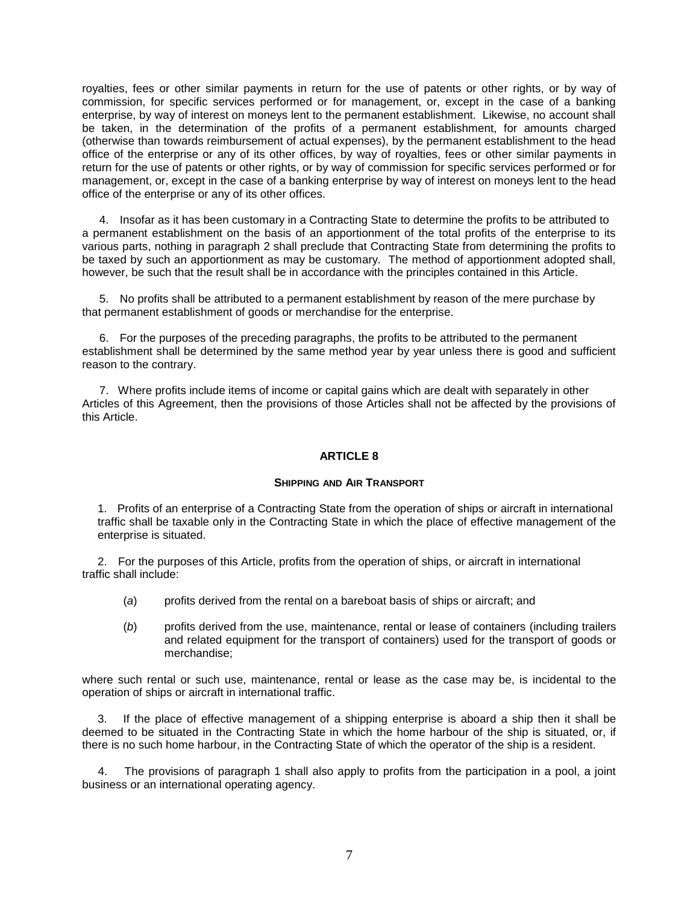royalties, fees or other similar payments in return for the use of patents or other rights, or by way of commission, for specific services performed or for management, or, except in the case of a banking enterprise, by way of interest on moneys lent to the permanent establishment. Likewise, no account shall be taken, in the determination of the profits of a permanent establishment, for amounts charged (otherwise than towards reimbursement of actual expenses), by the permanent establishment to the head office of the enterprise or any of its other offices, by way of royalties, fees or other similar payments in return for the use of patents or other rights, or by way of commission for specific services performed or for management, or, except in the case of a banking enterprise by way of interest on moneys lent to the head office of the enterprise or any of its other offices.

4. Insofar as it has been customary in a Contracting State to determine the profits to be attributed to a permanent establishment on the basis of an apportionment of the total profits of the enterprise to its various parts, nothing in paragraph 2 shall preclude that Contracting State from determining the profits to be taxed by such an apportionment as may be customary. The method of apportionment adopted shall, however, be such that the result shall be in accordance with the principles contained in this Article.

5. No profits shall be attributed to a permanent establishment by reason of the mere purchase by that permanent establishment of goods or merchandise for the enterprise.

6. For the purposes of the preceding paragraphs, the profits to be attributed to the permanent establishment shall be determined by the same method year by year unless there is good and sufficient reason to the contrary.

7. Where profits include items of income or capital gains which are dealt with separately in other Articles of this Agreement, then the provisions of those Articles shall not be affected by the provisions of this Article.

#### **ARTICLE 8**

#### **SHIPPING AND AIR TRANSPORT**

1. Profits of an enterprise of a Contracting State from the operation of ships or aircraft in international traffic shall be taxable only in the Contracting State in which the place of effective management of the enterprise is situated.

2. For the purposes of this Article, profits from the operation of ships, or aircraft in international traffic shall include:

- (*a*) profits derived from the rental on a bareboat basis of ships or aircraft; and
- (*b*) profits derived from the use, maintenance, rental or lease of containers (including trailers and related equipment for the transport of containers) used for the transport of goods or merchandise;

where such rental or such use, maintenance, rental or lease as the case may be, is incidental to the operation of ships or aircraft in international traffic.

3. If the place of effective management of a shipping enterprise is aboard a ship then it shall be deemed to be situated in the Contracting State in which the home harbour of the ship is situated, or, if there is no such home harbour, in the Contracting State of which the operator of the ship is a resident.

 4. The provisions of paragraph 1 shall also apply to profits from the participation in a pool, a joint business or an international operating agency.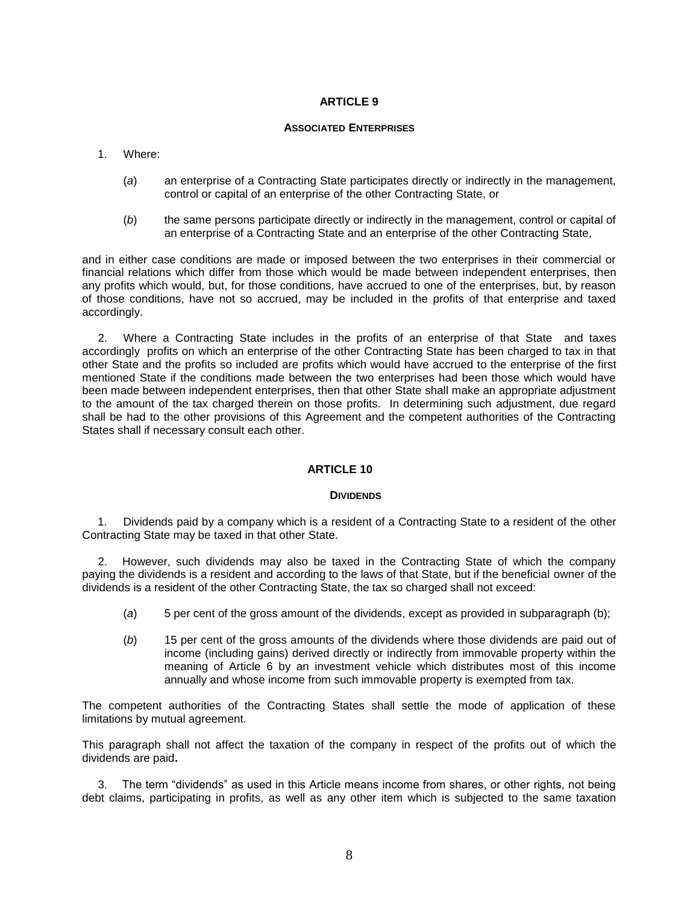#### **ASSOCIATED ENTERPRISES**

#### 1. Where:

- (*a*) an enterprise of a Contracting State participates directly or indirectly in the management, control or capital of an enterprise of the other Contracting State, or
- (*b*) the same persons participate directly or indirectly in the management, control or capital of an enterprise of a Contracting State and an enterprise of the other Contracting State,

and in either case conditions are made or imposed between the two enterprises in their commercial or financial relations which differ from those which would be made between independent enterprises, then any profits which would, but, for those conditions, have accrued to one of the enterprises, but, by reason of those conditions, have not so accrued, may be included in the profits of that enterprise and taxed accordingly.

 2. Where a Contracting State includes in the profits of an enterprise of that State and taxes accordingly profits on which an enterprise of the other Contracting State has been charged to tax in that other State and the profits so included are profits which would have accrued to the enterprise of the first mentioned State if the conditions made between the two enterprises had been those which would have been made between independent enterprises, then that other State shall make an appropriate adjustment to the amount of the tax charged therein on those profits. In determining such adjustment, due regard shall be had to the other provisions of this Agreement and the competent authorities of the Contracting States shall if necessary consult each other.

## **ARTICLE 10**

## **DIVIDENDS**

1. Dividends paid by a company which is a resident of a Contracting State to a resident of the other Contracting State may be taxed in that other State.

 2. However, such dividends may also be taxed in the Contracting State of which the company paying the dividends is a resident and according to the laws of that State, but if the beneficial owner of the dividends is a resident of the other Contracting State, the tax so charged shall not exceed:

- (*a*) 5 per cent of the gross amount of the dividends, except as provided in subparagraph (b);
- (*b*) 15 per cent of the gross amounts of the dividends where those dividends are paid out of income (including gains) derived directly or indirectly from immovable property within the meaning of Article 6 by an investment vehicle which distributes most of this income annually and whose income from such immovable property is exempted from tax.

The competent authorities of the Contracting States shall settle the mode of application of these limitations by mutual agreement.

This paragraph shall not affect the taxation of the company in respect of the profits out of which the dividends are paid**.**

 3. The term "dividends" as used in this Article means income from shares, or other rights, not being debt claims, participating in profits, as well as any other item which is subjected to the same taxation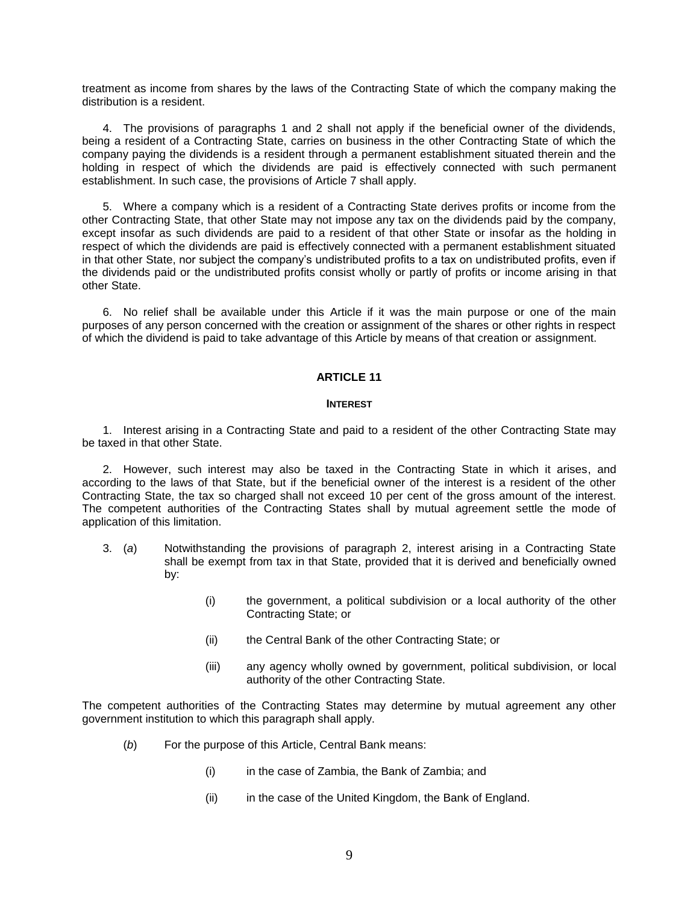treatment as income from shares by the laws of the Contracting State of which the company making the distribution is a resident.

4. The provisions of paragraphs 1 and 2 shall not apply if the beneficial owner of the dividends, being a resident of a Contracting State, carries on business in the other Contracting State of which the company paying the dividends is a resident through a permanent establishment situated therein and the holding in respect of which the dividends are paid is effectively connected with such permanent establishment. In such case, the provisions of Article 7 shall apply.

5. Where a company which is a resident of a Contracting State derives profits or income from the other Contracting State, that other State may not impose any tax on the dividends paid by the company, except insofar as such dividends are paid to a resident of that other State or insofar as the holding in respect of which the dividends are paid is effectively connected with a permanent establishment situated in that other State, nor subject the company's undistributed profits to a tax on undistributed profits, even if the dividends paid or the undistributed profits consist wholly or partly of profits or income arising in that other State.

6. No relief shall be available under this Article if it was the main purpose or one of the main purposes of any person concerned with the creation or assignment of the shares or other rights in respect of which the dividend is paid to take advantage of this Article by means of that creation or assignment.

## **ARTICLE 11**

#### **INTEREST**

1. Interest arising in a Contracting State and paid to a resident of the other Contracting State may be taxed in that other State.

2. However, such interest may also be taxed in the Contracting State in which it arises, and according to the laws of that State, but if the beneficial owner of the interest is a resident of the other Contracting State, the tax so charged shall not exceed 10 per cent of the gross amount of the interest. The competent authorities of the Contracting States shall by mutual agreement settle the mode of application of this limitation.

- 3. (*a*) Notwithstanding the provisions of paragraph 2, interest arising in a Contracting State shall be exempt from tax in that State, provided that it is derived and beneficially owned by:
	- (i) the government, a political subdivision or a local authority of the other Contracting State; or
	- (ii) the Central Bank of the other Contracting State; or
	- (iii) any agency wholly owned by government, political subdivision, or local authority of the other Contracting State.

The competent authorities of the Contracting States may determine by mutual agreement any other government institution to which this paragraph shall apply.

- (*b*) For the purpose of this Article, Central Bank means:
	- (i) in the case of Zambia, the Bank of Zambia; and
	- (ii) in the case of the United Kingdom, the Bank of England.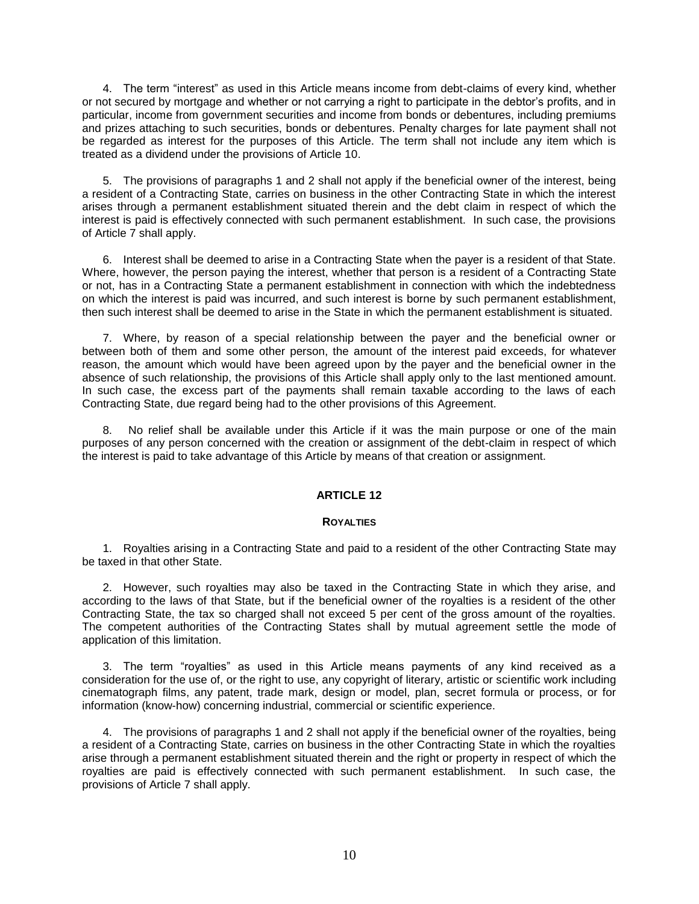4. The term "interest" as used in this Article means income from debt-claims of every kind, whether or not secured by mortgage and whether or not carrying a right to participate in the debtor's profits, and in particular, income from government securities and income from bonds or debentures, including premiums and prizes attaching to such securities, bonds or debentures. Penalty charges for late payment shall not be regarded as interest for the purposes of this Article. The term shall not include any item which is treated as a dividend under the provisions of Article 10.

5. The provisions of paragraphs 1 and 2 shall not apply if the beneficial owner of the interest, being a resident of a Contracting State, carries on business in the other Contracting State in which the interest arises through a permanent establishment situated therein and the debt claim in respect of which the interest is paid is effectively connected with such permanent establishment. In such case, the provisions of Article 7 shall apply.

6. Interest shall be deemed to arise in a Contracting State when the payer is a resident of that State. Where, however, the person paying the interest, whether that person is a resident of a Contracting State or not, has in a Contracting State a permanent establishment in connection with which the indebtedness on which the interest is paid was incurred, and such interest is borne by such permanent establishment, then such interest shall be deemed to arise in the State in which the permanent establishment is situated.

7. Where, by reason of a special relationship between the payer and the beneficial owner or between both of them and some other person, the amount of the interest paid exceeds, for whatever reason, the amount which would have been agreed upon by the payer and the beneficial owner in the absence of such relationship, the provisions of this Article shall apply only to the last mentioned amount. In such case, the excess part of the payments shall remain taxable according to the laws of each Contracting State, due regard being had to the other provisions of this Agreement.

8. No relief shall be available under this Article if it was the main purpose or one of the main purposes of any person concerned with the creation or assignment of the debt-claim in respect of which the interest is paid to take advantage of this Article by means of that creation or assignment.

# **ARTICLE 12**

## **ROYALTIES**

1. Royalties arising in a Contracting State and paid to a resident of the other Contracting State may be taxed in that other State.

2. However, such royalties may also be taxed in the Contracting State in which they arise, and according to the laws of that State, but if the beneficial owner of the royalties is a resident of the other Contracting State, the tax so charged shall not exceed 5 per cent of the gross amount of the royalties. The competent authorities of the Contracting States shall by mutual agreement settle the mode of application of this limitation.

3. The term "royalties" as used in this Article means payments of any kind received as a consideration for the use of, or the right to use, any copyright of literary, artistic or scientific work including cinematograph films, any patent, trade mark, design or model, plan, secret formula or process, or for information (know-how) concerning industrial, commercial or scientific experience.

4. The provisions of paragraphs 1 and 2 shall not apply if the beneficial owner of the royalties, being a resident of a Contracting State, carries on business in the other Contracting State in which the royalties arise through a permanent establishment situated therein and the right or property in respect of which the royalties are paid is effectively connected with such permanent establishment. In such case, the provisions of Article 7 shall apply.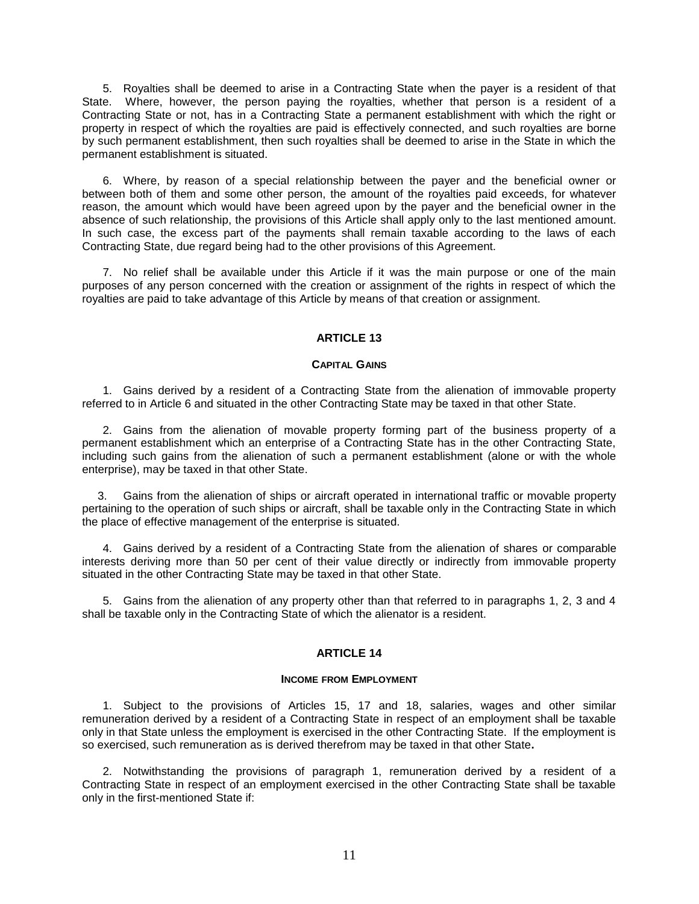5. Royalties shall be deemed to arise in a Contracting State when the payer is a resident of that State. Where, however, the person paying the royalties, whether that person is a resident of a Contracting State or not, has in a Contracting State a permanent establishment with which the right or property in respect of which the royalties are paid is effectively connected, and such royalties are borne by such permanent establishment, then such royalties shall be deemed to arise in the State in which the permanent establishment is situated.

6. Where, by reason of a special relationship between the payer and the beneficial owner or between both of them and some other person, the amount of the royalties paid exceeds, for whatever reason, the amount which would have been agreed upon by the payer and the beneficial owner in the absence of such relationship, the provisions of this Article shall apply only to the last mentioned amount. In such case, the excess part of the payments shall remain taxable according to the laws of each Contracting State, due regard being had to the other provisions of this Agreement.

7. No relief shall be available under this Article if it was the main purpose or one of the main purposes of any person concerned with the creation or assignment of the rights in respect of which the royalties are paid to take advantage of this Article by means of that creation or assignment.

## **ARTICLE 13**

#### **CAPITAL GAINS**

1. Gains derived by a resident of a Contracting State from the alienation of immovable property referred to in Article 6 and situated in the other Contracting State may be taxed in that other State.

2. Gains from the alienation of movable property forming part of the business property of a permanent establishment which an enterprise of a Contracting State has in the other Contracting State, including such gains from the alienation of such a permanent establishment (alone or with the whole enterprise), may be taxed in that other State.

3. Gains from the alienation of ships or aircraft operated in international traffic or movable property pertaining to the operation of such ships or aircraft, shall be taxable only in the Contracting State in which the place of effective management of the enterprise is situated.

4. Gains derived by a resident of a Contracting State from the alienation of shares or comparable interests deriving more than 50 per cent of their value directly or indirectly from immovable property situated in the other Contracting State may be taxed in that other State.

5. Gains from the alienation of any property other than that referred to in paragraphs 1, 2, 3 and 4 shall be taxable only in the Contracting State of which the alienator is a resident.

# **ARTICLE 14**

#### **INCOME FROM EMPLOYMENT**

1. Subject to the provisions of Articles 15, 17 and 18, salaries, wages and other similar remuneration derived by a resident of a Contracting State in respect of an employment shall be taxable only in that State unless the employment is exercised in the other Contracting State. If the employment is so exercised, such remuneration as is derived therefrom may be taxed in that other State**.**

2. Notwithstanding the provisions of paragraph 1, remuneration derived by a resident of a Contracting State in respect of an employment exercised in the other Contracting State shall be taxable only in the first-mentioned State if: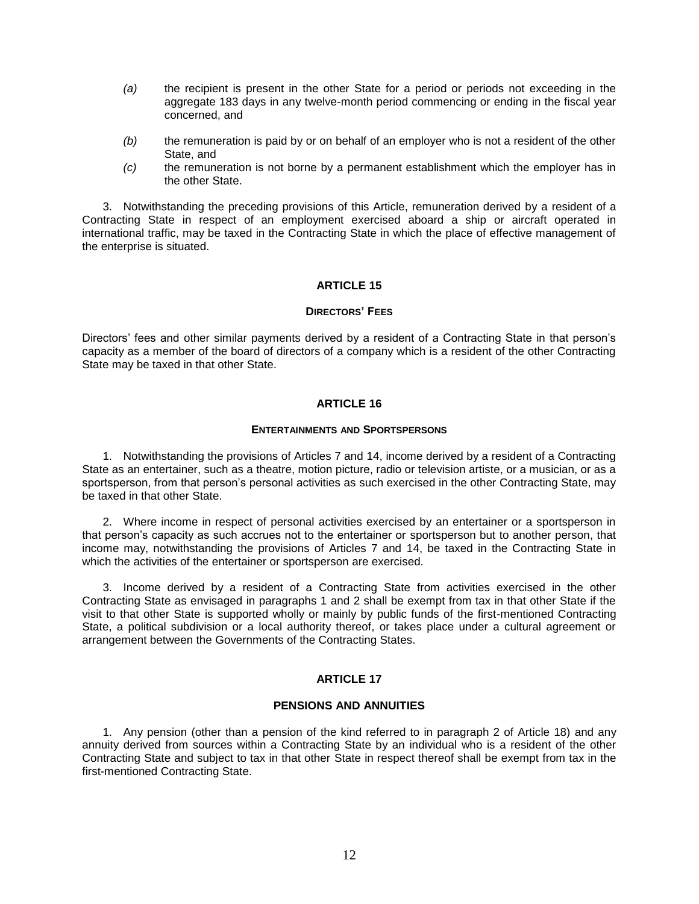- *(a)* the recipient is present in the other State for a period or periods not exceeding in the aggregate 183 days in any twelve-month period commencing or ending in the fiscal year concerned, and
- *(b)* the remuneration is paid by or on behalf of an employer who is not a resident of the other State, and
- *(c)* the remuneration is not borne by a permanent establishment which the employer has in the other State.

3. Notwithstanding the preceding provisions of this Article, remuneration derived by a resident of a Contracting State in respect of an employment exercised aboard a ship or aircraft operated in international traffic, may be taxed in the Contracting State in which the place of effective management of the enterprise is situated.

## **ARTICLE 15**

#### **DIRECTORS' FEES**

Directors' fees and other similar payments derived by a resident of a Contracting State in that person's capacity as a member of the board of directors of a company which is a resident of the other Contracting State may be taxed in that other State.

## **ARTICLE 16**

#### **ENTERTAINMENTS AND SPORTSPERSONS**

1. Notwithstanding the provisions of Articles 7 and 14, income derived by a resident of a Contracting State as an entertainer, such as a theatre, motion picture, radio or television artiste, or a musician, or as a sportsperson, from that person's personal activities as such exercised in the other Contracting State, may be taxed in that other State.

2. Where income in respect of personal activities exercised by an entertainer or a sportsperson in that person's capacity as such accrues not to the entertainer or sportsperson but to another person, that income may, notwithstanding the provisions of Articles 7 and 14, be taxed in the Contracting State in which the activities of the entertainer or sportsperson are exercised.

3. Income derived by a resident of a Contracting State from activities exercised in the other Contracting State as envisaged in paragraphs 1 and 2 shall be exempt from tax in that other State if the visit to that other State is supported wholly or mainly by public funds of the first-mentioned Contracting State, a political subdivision or a local authority thereof, or takes place under a cultural agreement or arrangement between the Governments of the Contracting States.

## **ARTICLE 17**

# **PENSIONS AND ANNUITIES**

1. Any pension (other than a pension of the kind referred to in paragraph 2 of Article 18) and any annuity derived from sources within a Contracting State by an individual who is a resident of the other Contracting State and subject to tax in that other State in respect thereof shall be exempt from tax in the first-mentioned Contracting State.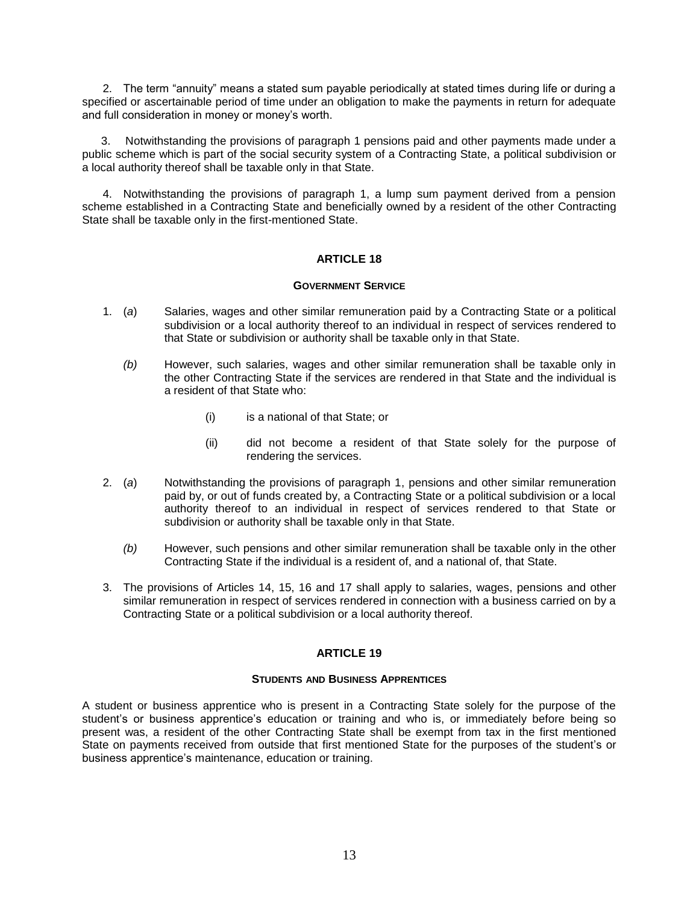2. The term "annuity" means a stated sum payable periodically at stated times during life or during a specified or ascertainable period of time under an obligation to make the payments in return for adequate and full consideration in money or money's worth.

Notwithstanding the provisions of paragraph 1 pensions paid and other payments made under a public scheme which is part of the social security system of a Contracting State, a political subdivision or a local authority thereof shall be taxable only in that State.

4. Notwithstanding the provisions of paragraph 1, a lump sum payment derived from a pension scheme established in a Contracting State and beneficially owned by a resident of the other Contracting State shall be taxable only in the first-mentioned State.

# **ARTICLE 18**

## **GOVERNMENT SERVICE**

- 1. (*a*) Salaries, wages and other similar remuneration paid by a Contracting State or a political subdivision or a local authority thereof to an individual in respect of services rendered to that State or subdivision or authority shall be taxable only in that State.
	- *(b)* However, such salaries, wages and other similar remuneration shall be taxable only in the other Contracting State if the services are rendered in that State and the individual is a resident of that State who:
		- (i) is a national of that State; or
		- (ii) did not become a resident of that State solely for the purpose of rendering the services.
- 2. (*a*) Notwithstanding the provisions of paragraph 1, pensions and other similar remuneration paid by, or out of funds created by, a Contracting State or a political subdivision or a local authority thereof to an individual in respect of services rendered to that State or subdivision or authority shall be taxable only in that State.
	- *(b)* However, such pensions and other similar remuneration shall be taxable only in the other Contracting State if the individual is a resident of, and a national of, that State.
- 3. The provisions of Articles 14, 15, 16 and 17 shall apply to salaries, wages, pensions and other similar remuneration in respect of services rendered in connection with a business carried on by a Contracting State or a political subdivision or a local authority thereof.

# **ARTICLE 19**

## **STUDENTS AND BUSINESS APPRENTICES**

A student or business apprentice who is present in a Contracting State solely for the purpose of the student's or business apprentice's education or training and who is, or immediately before being so present was, a resident of the other Contracting State shall be exempt from tax in the first mentioned State on payments received from outside that first mentioned State for the purposes of the student's or business apprentice's maintenance, education or training.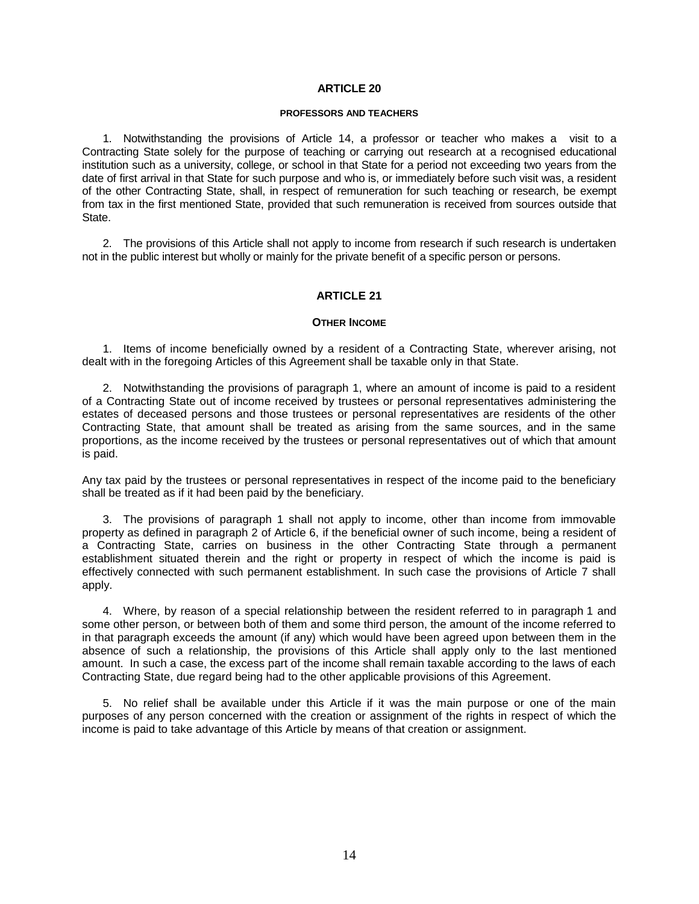#### **PROFESSORS AND TEACHERS**

1. Notwithstanding the provisions of Article 14, a professor or teacher who makes a visit to a Contracting State solely for the purpose of teaching or carrying out research at a recognised educational institution such as a university, college, or school in that State for a period not exceeding two years from the date of first arrival in that State for such purpose and who is, or immediately before such visit was, a resident of the other Contracting State, shall, in respect of remuneration for such teaching or research, be exempt from tax in the first mentioned State, provided that such remuneration is received from sources outside that State.

2. The provisions of this Article shall not apply to income from research if such research is undertaken not in the public interest but wholly or mainly for the private benefit of a specific person or persons.

## **ARTICLE 21**

#### **OTHER INCOME**

1. Items of income beneficially owned by a resident of a Contracting State, wherever arising, not dealt with in the foregoing Articles of this Agreement shall be taxable only in that State.

2. Notwithstanding the provisions of paragraph 1, where an amount of income is paid to a resident of a Contracting State out of income received by trustees or personal representatives administering the estates of deceased persons and those trustees or personal representatives are residents of the other Contracting State, that amount shall be treated as arising from the same sources, and in the same proportions, as the income received by the trustees or personal representatives out of which that amount is paid.

Any tax paid by the trustees or personal representatives in respect of the income paid to the beneficiary shall be treated as if it had been paid by the beneficiary.

3. The provisions of paragraph 1 shall not apply to income, other than income from immovable property as defined in paragraph 2 of Article 6, if the beneficial owner of such income, being a resident of a Contracting State, carries on business in the other Contracting State through a permanent establishment situated therein and the right or property in respect of which the income is paid is effectively connected with such permanent establishment. In such case the provisions of Article 7 shall apply.

4. Where, by reason of a special relationship between the resident referred to in paragraph 1 and some other person, or between both of them and some third person, the amount of the income referred to in that paragraph exceeds the amount (if any) which would have been agreed upon between them in the absence of such a relationship, the provisions of this Article shall apply only to the last mentioned amount. In such a case, the excess part of the income shall remain taxable according to the laws of each Contracting State, due regard being had to the other applicable provisions of this Agreement.

5. No relief shall be available under this Article if it was the main purpose or one of the main purposes of any person concerned with the creation or assignment of the rights in respect of which the income is paid to take advantage of this Article by means of that creation or assignment.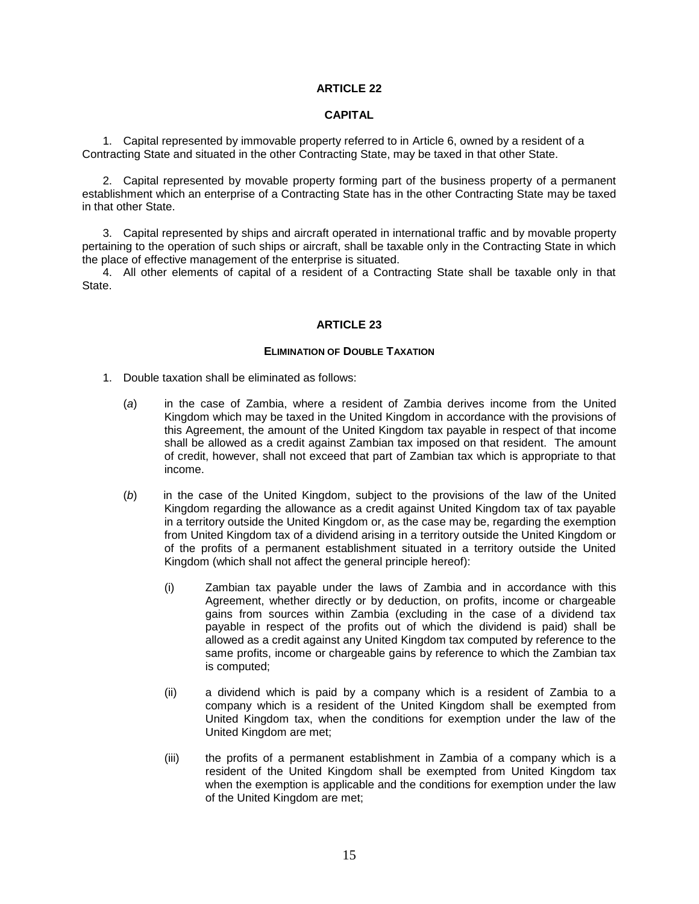## **CAPITAL**

1. Capital represented by immovable property referred to in Article 6, owned by a resident of a Contracting State and situated in the other Contracting State, may be taxed in that other State.

2. Capital represented by movable property forming part of the business property of a permanent establishment which an enterprise of a Contracting State has in the other Contracting State may be taxed in that other State.

3. Capital represented by ships and aircraft operated in international traffic and by movable property pertaining to the operation of such ships or aircraft, shall be taxable only in the Contracting State in which the place of effective management of the enterprise is situated.

4. All other elements of capital of a resident of a Contracting State shall be taxable only in that State.

## **ARTICLE 23**

## **ELIMINATION OF DOUBLE TAXATION**

- 1. Double taxation shall be eliminated as follows:
	- (*a*) in the case of Zambia, where a resident of Zambia derives income from the United Kingdom which may be taxed in the United Kingdom in accordance with the provisions of this Agreement, the amount of the United Kingdom tax payable in respect of that income shall be allowed as a credit against Zambian tax imposed on that resident. The amount of credit, however, shall not exceed that part of Zambian tax which is appropriate to that income.
	- (*b*) in the case of the United Kingdom, subject to the provisions of the law of the United Kingdom regarding the allowance as a credit against United Kingdom tax of tax payable in a territory outside the United Kingdom or, as the case may be, regarding the exemption from United Kingdom tax of a dividend arising in a territory outside the United Kingdom or of the profits of a permanent establishment situated in a territory outside the United Kingdom (which shall not affect the general principle hereof):
		- (i) Zambian tax payable under the laws of Zambia and in accordance with this Agreement, whether directly or by deduction, on profits, income or chargeable gains from sources within Zambia (excluding in the case of a dividend tax payable in respect of the profits out of which the dividend is paid) shall be allowed as a credit against any United Kingdom tax computed by reference to the same profits, income or chargeable gains by reference to which the Zambian tax is computed;
		- (ii) a dividend which is paid by a company which is a resident of Zambia to a company which is a resident of the United Kingdom shall be exempted from United Kingdom tax, when the conditions for exemption under the law of the United Kingdom are met;
		- (iii) the profits of a permanent establishment in Zambia of a company which is a resident of the United Kingdom shall be exempted from United Kingdom tax when the exemption is applicable and the conditions for exemption under the law of the United Kingdom are met;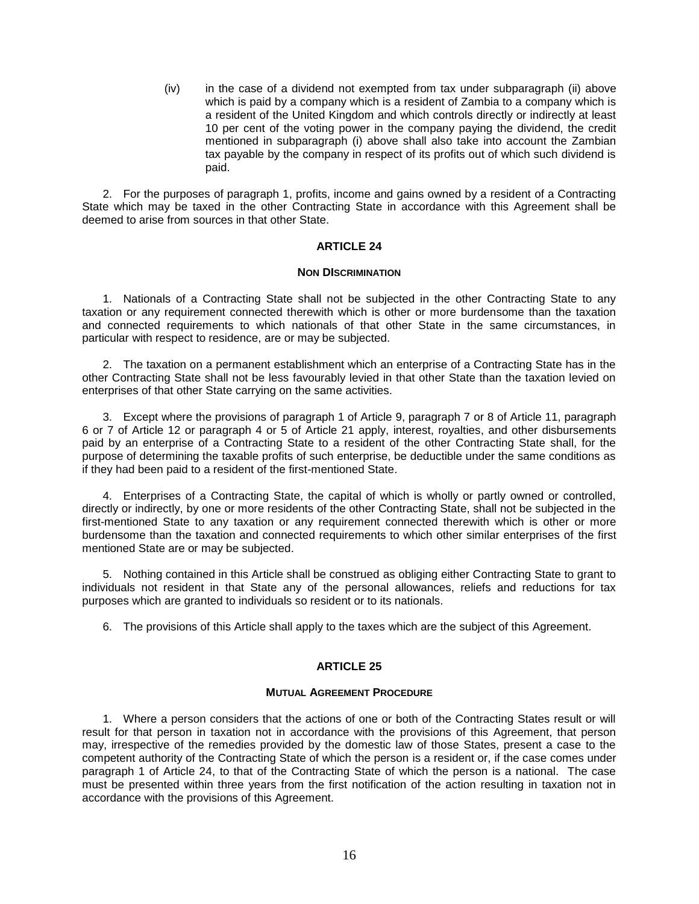(iv) in the case of a dividend not exempted from tax under subparagraph (ii) above which is paid by a company which is a resident of Zambia to a company which is a resident of the United Kingdom and which controls directly or indirectly at least 10 per cent of the voting power in the company paying the dividend, the credit mentioned in subparagraph (i) above shall also take into account the Zambian tax payable by the company in respect of its profits out of which such dividend is paid.

2. For the purposes of paragraph 1, profits, income and gains owned by a resident of a Contracting State which may be taxed in the other Contracting State in accordance with this Agreement shall be deemed to arise from sources in that other State.

## **ARTICLE 24**

#### **NON DISCRIMINATION**

1. Nationals of a Contracting State shall not be subjected in the other Contracting State to any taxation or any requirement connected therewith which is other or more burdensome than the taxation and connected requirements to which nationals of that other State in the same circumstances, in particular with respect to residence, are or may be subjected.

2. The taxation on a permanent establishment which an enterprise of a Contracting State has in the other Contracting State shall not be less favourably levied in that other State than the taxation levied on enterprises of that other State carrying on the same activities.

3. Except where the provisions of paragraph 1 of Article 9, paragraph 7 or 8 of Article 11, paragraph 6 or 7 of Article 12 or paragraph 4 or 5 of Article 21 apply, interest, royalties, and other disbursements paid by an enterprise of a Contracting State to a resident of the other Contracting State shall, for the purpose of determining the taxable profits of such enterprise, be deductible under the same conditions as if they had been paid to a resident of the first-mentioned State.

4. Enterprises of a Contracting State, the capital of which is wholly or partly owned or controlled, directly or indirectly, by one or more residents of the other Contracting State, shall not be subjected in the first-mentioned State to any taxation or any requirement connected therewith which is other or more burdensome than the taxation and connected requirements to which other similar enterprises of the first mentioned State are or may be subjected.

5. Nothing contained in this Article shall be construed as obliging either Contracting State to grant to individuals not resident in that State any of the personal allowances, reliefs and reductions for tax purposes which are granted to individuals so resident or to its nationals.

6. The provisions of this Article shall apply to the taxes which are the subject of this Agreement.

## **ARTICLE 25**

#### **MUTUAL AGREEMENT PROCEDURE**

1. Where a person considers that the actions of one or both of the Contracting States result or will result for that person in taxation not in accordance with the provisions of this Agreement, that person may, irrespective of the remedies provided by the domestic law of those States, present a case to the competent authority of the Contracting State of which the person is a resident or, if the case comes under paragraph 1 of Article 24, to that of the Contracting State of which the person is a national. The case must be presented within three years from the first notification of the action resulting in taxation not in accordance with the provisions of this Agreement.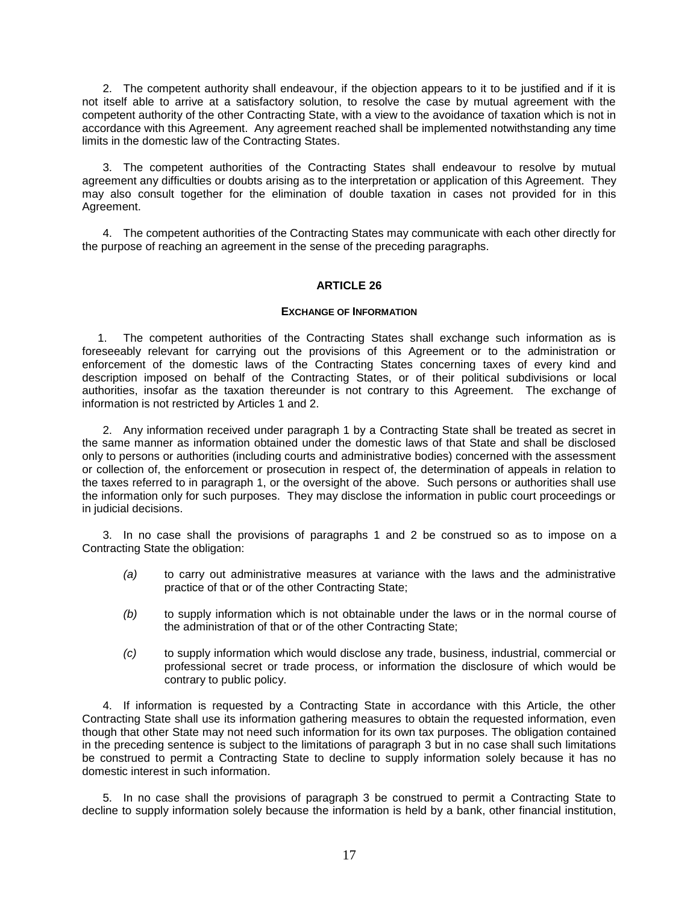2. The competent authority shall endeavour, if the objection appears to it to be justified and if it is not itself able to arrive at a satisfactory solution, to resolve the case by mutual agreement with the competent authority of the other Contracting State, with a view to the avoidance of taxation which is not in accordance with this Agreement. Any agreement reached shall be implemented notwithstanding any time limits in the domestic law of the Contracting States.

3. The competent authorities of the Contracting States shall endeavour to resolve by mutual agreement any difficulties or doubts arising as to the interpretation or application of this Agreement. They may also consult together for the elimination of double taxation in cases not provided for in this Agreement.

4. The competent authorities of the Contracting States may communicate with each other directly for the purpose of reaching an agreement in the sense of the preceding paragraphs.

## **ARTICLE 26**

#### **EXCHANGE OF INFORMATION**

1. The competent authorities of the Contracting States shall exchange such information as is foreseeably relevant for carrying out the provisions of this Agreement or to the administration or enforcement of the domestic laws of the Contracting States concerning taxes of every kind and description imposed on behalf of the Contracting States, or of their political subdivisions or local authorities, insofar as the taxation thereunder is not contrary to this Agreement. The exchange of information is not restricted by Articles 1 and 2.

2. Any information received under paragraph 1 by a Contracting State shall be treated as secret in the same manner as information obtained under the domestic laws of that State and shall be disclosed only to persons or authorities (including courts and administrative bodies) concerned with the assessment or collection of, the enforcement or prosecution in respect of, the determination of appeals in relation to the taxes referred to in paragraph 1, or the oversight of the above. Such persons or authorities shall use the information only for such purposes. They may disclose the information in public court proceedings or in judicial decisions.

3. In no case shall the provisions of paragraphs 1 and 2 be construed so as to impose on a Contracting State the obligation:

- *(a)* to carry out administrative measures at variance with the laws and the administrative practice of that or of the other Contracting State;
- *(b)* to supply information which is not obtainable under the laws or in the normal course of the administration of that or of the other Contracting State;
- *(c)* to supply information which would disclose any trade, business, industrial, commercial or professional secret or trade process, or information the disclosure of which would be contrary to public policy.

4. If information is requested by a Contracting State in accordance with this Article, the other Contracting State shall use its information gathering measures to obtain the requested information, even though that other State may not need such information for its own tax purposes. The obligation contained in the preceding sentence is subject to the limitations of paragraph 3 but in no case shall such limitations be construed to permit a Contracting State to decline to supply information solely because it has no domestic interest in such information.

5. In no case shall the provisions of paragraph 3 be construed to permit a Contracting State to decline to supply information solely because the information is held by a bank, other financial institution,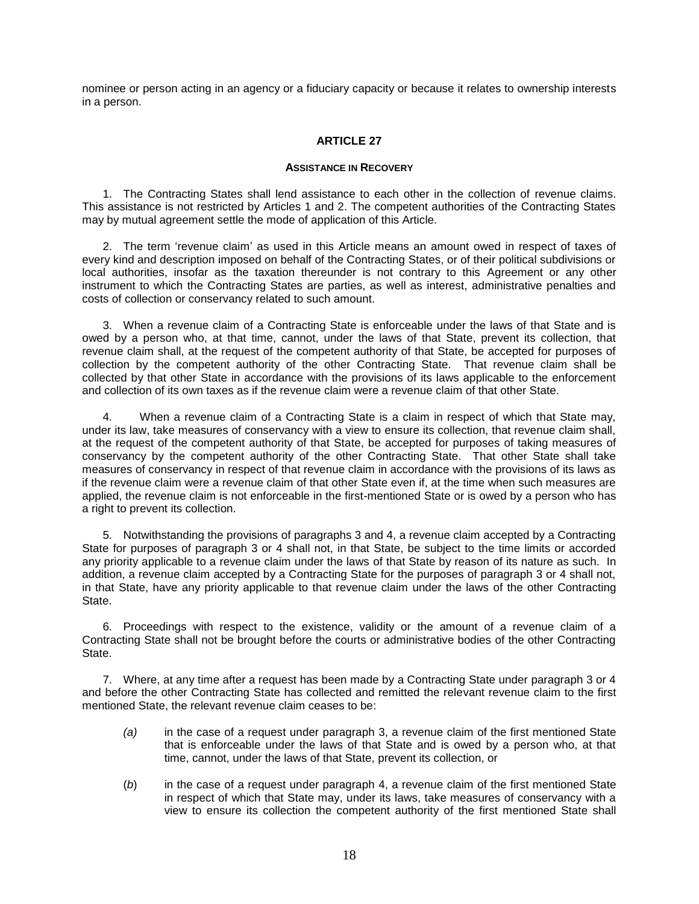nominee or person acting in an agency or a fiduciary capacity or because it relates to ownership interests in a person.

## **ARTICLE 27**

#### **ASSISTANCE IN RECOVERY**

1. The Contracting States shall lend assistance to each other in the collection of revenue claims. This assistance is not restricted by Articles 1 and 2. The competent authorities of the Contracting States may by mutual agreement settle the mode of application of this Article.

2. The term 'revenue claim' as used in this Article means an amount owed in respect of taxes of every kind and description imposed on behalf of the Contracting States, or of their political subdivisions or local authorities, insofar as the taxation thereunder is not contrary to this Agreement or any other instrument to which the Contracting States are parties, as well as interest, administrative penalties and costs of collection or conservancy related to such amount.

3. When a revenue claim of a Contracting State is enforceable under the laws of that State and is owed by a person who, at that time, cannot, under the laws of that State, prevent its collection, that revenue claim shall, at the request of the competent authority of that State, be accepted for purposes of collection by the competent authority of the other Contracting State. That revenue claim shall be collected by that other State in accordance with the provisions of its laws applicable to the enforcement and collection of its own taxes as if the revenue claim were a revenue claim of that other State.

4. When a revenue claim of a Contracting State is a claim in respect of which that State may, under its law, take measures of conservancy with a view to ensure its collection, that revenue claim shall, at the request of the competent authority of that State, be accepted for purposes of taking measures of conservancy by the competent authority of the other Contracting State. That other State shall take measures of conservancy in respect of that revenue claim in accordance with the provisions of its laws as if the revenue claim were a revenue claim of that other State even if, at the time when such measures are applied, the revenue claim is not enforceable in the first-mentioned State or is owed by a person who has a right to prevent its collection.

5. Notwithstanding the provisions of paragraphs 3 and 4, a revenue claim accepted by a Contracting State for purposes of paragraph 3 or 4 shall not, in that State, be subject to the time limits or accorded any priority applicable to a revenue claim under the laws of that State by reason of its nature as such. In addition, a revenue claim accepted by a Contracting State for the purposes of paragraph 3 or 4 shall not, in that State, have any priority applicable to that revenue claim under the laws of the other Contracting **State** 

6. Proceedings with respect to the existence, validity or the amount of a revenue claim of a Contracting State shall not be brought before the courts or administrative bodies of the other Contracting State.

7. Where, at any time after a request has been made by a Contracting State under paragraph 3 or 4 and before the other Contracting State has collected and remitted the relevant revenue claim to the first mentioned State, the relevant revenue claim ceases to be:

- *(a)* in the case of a request under paragraph 3, a revenue claim of the first mentioned State that is enforceable under the laws of that State and is owed by a person who, at that time, cannot, under the laws of that State, prevent its collection, or
- (*b*) in the case of a request under paragraph 4, a revenue claim of the first mentioned State in respect of which that State may, under its laws, take measures of conservancy with a view to ensure its collection the competent authority of the first mentioned State shall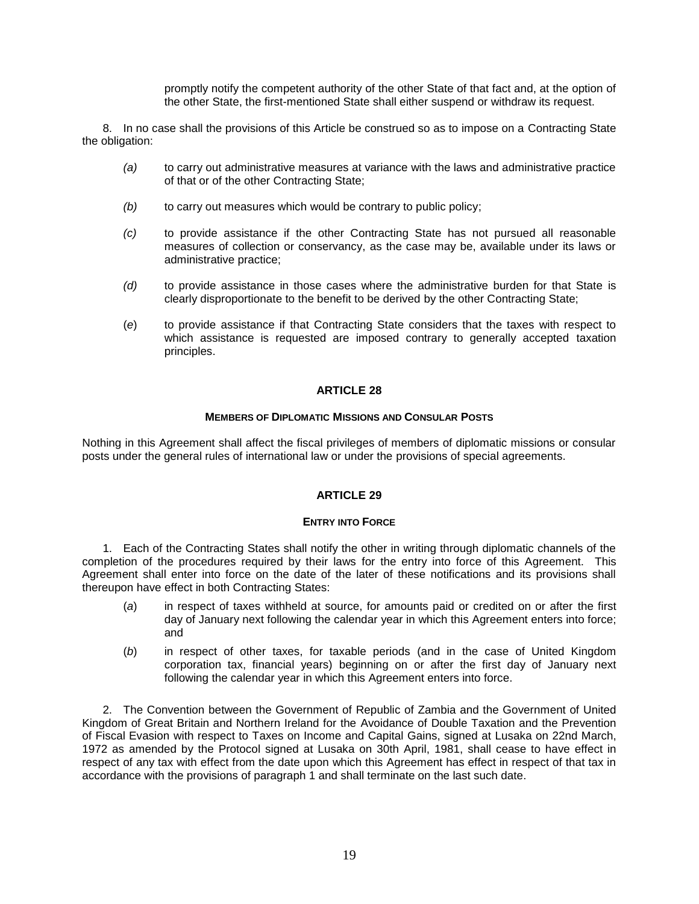promptly notify the competent authority of the other State of that fact and, at the option of the other State, the first-mentioned State shall either suspend or withdraw its request.

8. In no case shall the provisions of this Article be construed so as to impose on a Contracting State the obligation:

- *(a)* to carry out administrative measures at variance with the laws and administrative practice of that or of the other Contracting State;
- *(b)* to carry out measures which would be contrary to public policy;
- *(c)* to provide assistance if the other Contracting State has not pursued all reasonable measures of collection or conservancy, as the case may be, available under its laws or administrative practice;
- *(d)* to provide assistance in those cases where the administrative burden for that State is clearly disproportionate to the benefit to be derived by the other Contracting State;
- (*e*) to provide assistance if that Contracting State considers that the taxes with respect to which assistance is requested are imposed contrary to generally accepted taxation principles.

## **ARTICLE 28**

#### **MEMBERS OF DIPLOMATIC MISSIONS AND CONSULAR POSTS**

Nothing in this Agreement shall affect the fiscal privileges of members of diplomatic missions or consular posts under the general rules of international law or under the provisions of special agreements.

## **ARTICLE 29**

#### **ENTRY INTO FORCE**

1. Each of the Contracting States shall notify the other in writing through diplomatic channels of the completion of the procedures required by their laws for the entry into force of this Agreement. This Agreement shall enter into force on the date of the later of these notifications and its provisions shall thereupon have effect in both Contracting States:

- (*a*) in respect of taxes withheld at source, for amounts paid or credited on or after the first day of January next following the calendar year in which this Agreement enters into force; and
- (*b*) in respect of other taxes, for taxable periods (and in the case of United Kingdom corporation tax, financial years) beginning on or after the first day of January next following the calendar year in which this Agreement enters into force.

2. The Convention between the Government of Republic of Zambia and the Government of United Kingdom of Great Britain and Northern Ireland for the Avoidance of Double Taxation and the Prevention of Fiscal Evasion with respect to Taxes on Income and Capital Gains, signed at Lusaka on 22nd March, 1972 as amended by the Protocol signed at Lusaka on 30th April, 1981, shall cease to have effect in respect of any tax with effect from the date upon which this Agreement has effect in respect of that tax in accordance with the provisions of paragraph 1 and shall terminate on the last such date.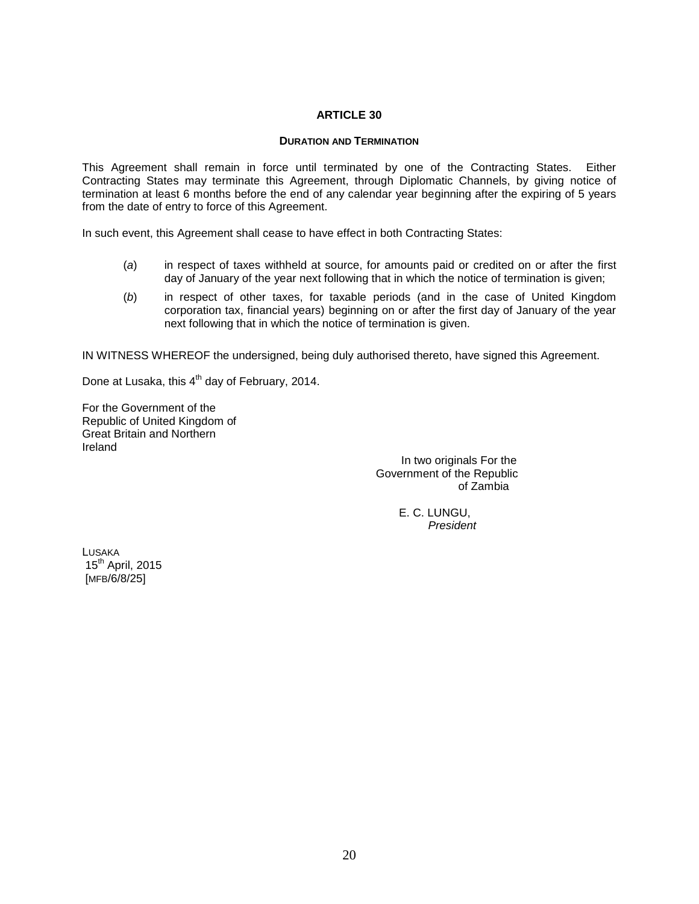#### **DURATION AND TERMINATION**

This Agreement shall remain in force until terminated by one of the Contracting States. Either Contracting States may terminate this Agreement, through Diplomatic Channels, by giving notice of termination at least 6 months before the end of any calendar year beginning after the expiring of 5 years from the date of entry to force of this Agreement.

In such event, this Agreement shall cease to have effect in both Contracting States:

- (*a*) in respect of taxes withheld at source, for amounts paid or credited on or after the first day of January of the year next following that in which the notice of termination is given;
- (*b*) in respect of other taxes, for taxable periods (and in the case of United Kingdom corporation tax, financial years) beginning on or after the first day of January of the year next following that in which the notice of termination is given.

IN WITNESS WHEREOF the undersigned, being duly authorised thereto, have signed this Agreement.

Done at Lusaka, this 4<sup>th</sup> day of February, 2014.

For the Government of the Republic of United Kingdom of Great Britain and Northern Ireland

> In two originals For the Government of the Republic of Zambia

> > E. C. LUNGU, *President*

LUSAKA 15<sup>th</sup> April, 2015 [MFB/6/8/25]